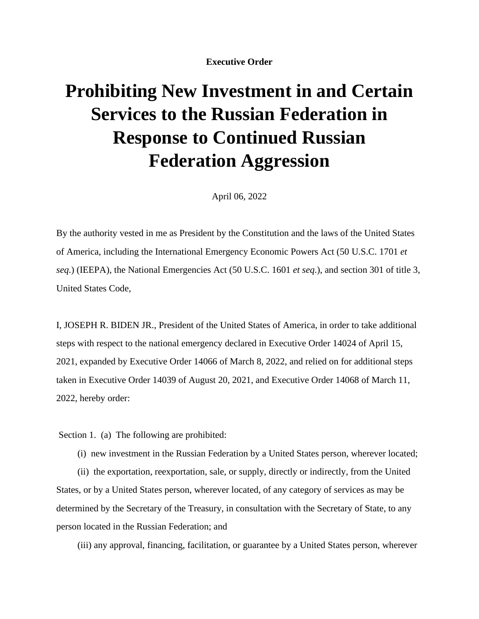**Executive Order** 

## **Prohibiting New Investment in and Certain Services to the Russian Federation in Response to Continued Russian Federation Aggression**

April 06, 2022

By the authority vested in me as President by the Constitution and the laws of the United States of America, including the International Emergency Economic Powers Act (50 U.S.C. 1701 *et seq*.) (IEEPA), the National Emergencies Act (50 U.S.C. 1601 *et seq*.), and section 301 of title 3, United States Code,

I, JOSEPH R. BIDEN JR., President of the United States of America, in order to take additional steps with respect to the national emergency declared in Executive Order 14024 of April 15, 2021, expanded by Executive Order 14066 of March 8, 2022, and relied on for additional steps taken in Executive Order 14039 of August 20, 2021, and Executive Order 14068 of March 11, 2022, hereby order:

Section 1. (a) The following are prohibited:

(i) new investment in the Russian Federation by a United States person, wherever located;

(ii) the exportation, reexportation, sale, or supply, directly or indirectly, from the United States, or by a United States person, wherever located, of any category of services as may be determined by the Secretary of the Treasury, in consultation with the Secretary of State, to any person located in the Russian Federation; and

(iii) any approval, financing, facilitation, or guarantee by a United States person, wherever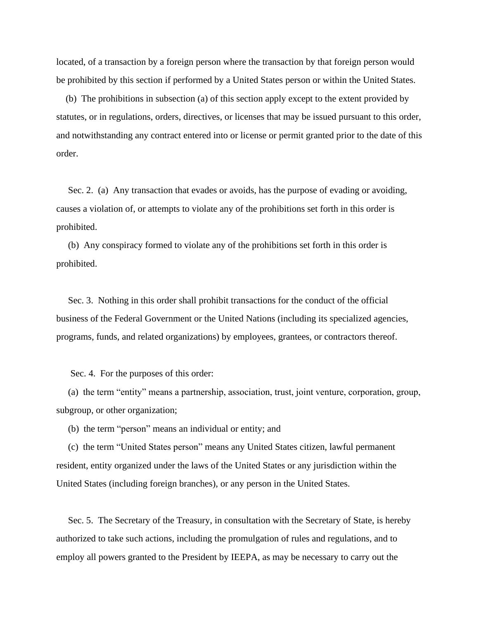located, of a transaction by a foreign person where the transaction by that foreign person would be prohibited by this section if performed by a United States person or within the United States.

(b) The prohibitions in subsection (a) of this section apply except to the extent provided by statutes, or in regulations, orders, directives, or licenses that may be issued pursuant to this order, and notwithstanding any contract entered into or license or permit granted prior to the date of this order.

Sec. 2. (a) Any transaction that evades or avoids, has the purpose of evading or avoiding, causes a violation of, or attempts to violate any of the prohibitions set forth in this order is prohibited.

 (b) Any conspiracy formed to violate any of the prohibitions set forth in this order is prohibited.

 Sec. 3. Nothing in this order shall prohibit transactions for the conduct of the official business of the Federal Government or the United Nations (including its specialized agencies, programs, funds, and related organizations) by employees, grantees, or contractors thereof.

Sec. 4. For the purposes of this order:

 (a) the term "entity" means a partnership, association, trust, joint venture, corporation, group, subgroup, or other organization;

(b) the term "person" means an individual or entity; and

 (c) the term "United States person" means any United States citizen, lawful permanent resident, entity organized under the laws of the United States or any jurisdiction within the United States (including foreign branches), or any person in the United States.

 Sec. 5. The Secretary of the Treasury, in consultation with the Secretary of State, is hereby authorized to take such actions, including the promulgation of rules and regulations, and to employ all powers granted to the President by IEEPA, as may be necessary to carry out the